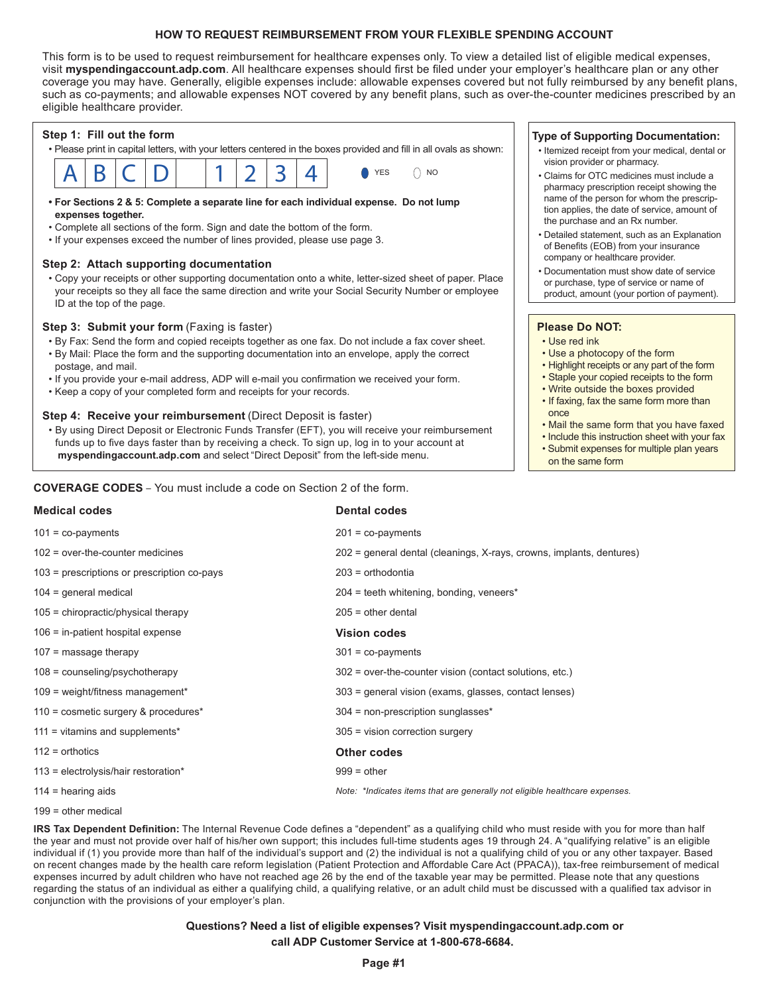## **HOW TO REQUEST REIMBURSEMENT FROM YOUR FLEXIBLE SPENDING ACCOUNT**

This form is to be used to request reimbursement for healthcare expenses only. To view a detailed list of eligible medical expenses, visit **myspendingaccount.adp.com**. All healthcare expenses should first be filed under your employer's healthcare plan or any other coverage you may have. Generally, eligible expenses include: allowable expenses covered but not fully reimbursed by any benefit plans, such as co-payments; and allowable expenses NOT covered by any benefit plans, such as over-the-counter medicines prescribed by an eligible healthcare provider.



### **Step 2: Attach supporting documentation**

• Copy your receipts or other supporting documentation onto a white, letter-sized sheet of paper. Place your receipts so they all face the same direction and write your Social Security Number or employee ID at the top of the page.

### **Step 3: Submit your form** (Faxing is faster)

- By Fax: Send the form and copied receipts together as one fax. Do not include a fax cover sheet. • By Mail: Place the form and the supporting documentation into an envelope, apply the correct postage, and mail.
- If you provide your e-mail address, ADP will e-mail you confirmation we received your form.
- Keep a copy of your completed form and receipts for your records.

### **Step 4: Receive your reimbursement** (Direct Deposit is faster)

• By using Direct Deposit or Electronic Funds Transfer (EFT), you will receive your reimbursement funds up to five days faster than by receiving a check. To sign up, log in to your account at **myspendingaccount.adp.com** and select "Direct Deposit" from the left-side menu.

## **COVERAGE CODES** – You must include a code on Section 2 of the form.

# **Medical codes Dental codes** 101 = co-payments 201 = co-payments 102 = over-the-counter medicines 202 = general dental (cleanings, X-rays, crowns, implants, dentures) 103 = prescriptions or prescription co-pays 203 = orthodontia 104 = general medical 204 = teeth whitening, bonding, veneers\* 105 = chiropractic/physical therapy 205 = other dental 106 = in-patient hospital expense **Vision codes** 107 = massage therapy 301 = co-payments 108 = counseling/psychotherapy 302 = over-the-counter vision (contact solutions, etc.) 109 = weight/fitness management\* 303 = general vision (exams, glasses, contact lenses) 110 = cosmetic surgery & procedures\* 304 = non-prescription sunglasses\* 111 = vitamins and supplements\* 305 = vision correction surgery 112 = orthotics **Other codes** 113 = electrolysis/hair restoration\* 999 = other 114 = hearing aids *Note: \*Indicates items that are generally not eligible healthcare expenses.*

199 = other medical

**IRS Tax Dependent Definition:** The Internal Revenue Code defines a "dependent" as a qualifying child who must reside with you for more than half the year and must not provide over half of his/her own support; this includes full-time students ages 19 through 24. A "qualifying relative" is an eligible individual if (1) you provide more than half of the individual's support and (2) the individual is not a qualifying child of you or any other taxpayer. Based on recent changes made by the health care reform legislation (Patient Protection and Affordable Care Act (PPACA)), tax-free reimbursement of medical expenses incurred by adult children who have not reached age 26 by the end of the taxable year may be permitted. Please note that any questions regarding the status of an individual as either a qualifying child, a qualifying relative, or an adult child must be discussed with a qualified tax advisor in conjunction with the provisions of your employer's plan.

## **Questions? Need a list of eligible expenses? Visit myspendingaccount.adp.com or call ADP Customer Service at 1-800-678-6684.**

## **Type of Supporting Documentation:**

- Itemized receipt from your medical, dental or vision provider or pharmacy.
- Claims for OTC medicines must include a pharmacy prescription receipt showing the name of the person for whom the prescription applies, the date of service, amount of the purchase and an Rx number.
- Detailed statement, such as an Explanation of Benefits (EOB) from your insurance company or healthcare provider.
- Documentation must show date of service or purchase, type of service or name of product, amount (your portion of payment).

## **Please Do NOT:**

- Use red ink
- Use a photocopy of the form
- Highlight receipts or any part of the form
- Staple your copied receipts to the form
- Write outside the boxes provided
- If faxing, fax the same form more than once
- Mail the same form that you have faxed
- Include this instruction sheet with your fax
- Submit expenses for multiple plan years on the same form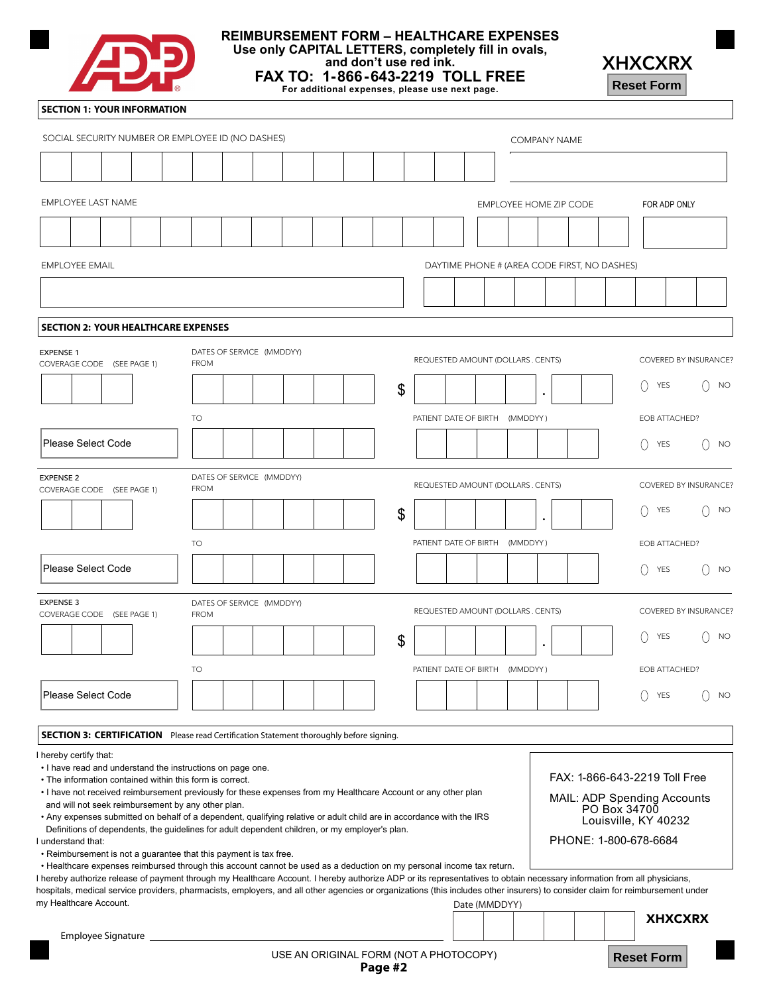

## **REIMBURSEMENT FORM – HEALTHCARE EXPENSES Use only CAPITAL LETTERS, completely fill in ovals,**

**and don't use red ink.**

**FAX TO: 1-866-643-2219 TOLL FREE For additional expenses, please use next page.**



## **SECTION 1: YOUR INFORMATION**

| <u> London de la provincia de la provincia de la provincia de la provincia de la provincia de la provincia de la</u>                                                                                                                                                                          | For additional expenses, please use next page.                                                                                                                                                                                                                                                                                           |                           |  |                                              |                     | <b>Reset Form</b>                                                                                                             |                |                       |
|-----------------------------------------------------------------------------------------------------------------------------------------------------------------------------------------------------------------------------------------------------------------------------------------------|------------------------------------------------------------------------------------------------------------------------------------------------------------------------------------------------------------------------------------------------------------------------------------------------------------------------------------------|---------------------------|--|----------------------------------------------|---------------------|-------------------------------------------------------------------------------------------------------------------------------|----------------|-----------------------|
| <b>SECTION 1: YOUR INFORMATION</b>                                                                                                                                                                                                                                                            |                                                                                                                                                                                                                                                                                                                                          |                           |  |                                              |                     |                                                                                                                               |                |                       |
| SOCIAL SECURITY NUMBER OR EMPLOYEE ID (NO DASHES)                                                                                                                                                                                                                                             |                                                                                                                                                                                                                                                                                                                                          |                           |  |                                              | <b>COMPANY NAME</b> |                                                                                                                               |                |                       |
|                                                                                                                                                                                                                                                                                               |                                                                                                                                                                                                                                                                                                                                          |                           |  |                                              |                     |                                                                                                                               |                |                       |
| <b>EMPLOYEE LAST NAME</b>                                                                                                                                                                                                                                                                     |                                                                                                                                                                                                                                                                                                                                          |                           |  |                                              |                     |                                                                                                                               |                |                       |
|                                                                                                                                                                                                                                                                                               |                                                                                                                                                                                                                                                                                                                                          |                           |  | EMPLOYEE HOME ZIP CODE                       |                     |                                                                                                                               | FOR ADP ONLY   |                       |
|                                                                                                                                                                                                                                                                                               |                                                                                                                                                                                                                                                                                                                                          |                           |  |                                              |                     |                                                                                                                               |                |                       |
| <b>EMPLOYEE EMAIL</b>                                                                                                                                                                                                                                                                         |                                                                                                                                                                                                                                                                                                                                          |                           |  | DAYTIME PHONE # (AREA CODE FIRST, NO DASHES) |                     |                                                                                                                               |                |                       |
|                                                                                                                                                                                                                                                                                               |                                                                                                                                                                                                                                                                                                                                          |                           |  |                                              |                     |                                                                                                                               |                |                       |
| <b>SECTION 2: YOUR HEALTHCARE EXPENSES</b>                                                                                                                                                                                                                                                    |                                                                                                                                                                                                                                                                                                                                          |                           |  |                                              |                     |                                                                                                                               |                |                       |
| <b>EXPENSE 1</b>                                                                                                                                                                                                                                                                              | DATES OF SERVICE (MMDDYY)                                                                                                                                                                                                                                                                                                                |                           |  | REQUESTED AMOUNT (DOLLARS . CENTS)           |                     |                                                                                                                               |                | COVERED BY INSURANCE? |
| COVERAGE CODE (SEE PAGE 1)                                                                                                                                                                                                                                                                    | <b>FROM</b>                                                                                                                                                                                                                                                                                                                              |                           |  |                                              |                     |                                                                                                                               |                |                       |
|                                                                                                                                                                                                                                                                                               |                                                                                                                                                                                                                                                                                                                                          | $\boldsymbol{\mathsf{S}}$ |  |                                              | $\bullet$           | $\left( \right)$                                                                                                              | YES            | <b>NO</b>             |
|                                                                                                                                                                                                                                                                                               | TO                                                                                                                                                                                                                                                                                                                                       |                           |  | PATIENT DATE OF BIRTH (MMDDYY)               |                     |                                                                                                                               | EOB ATTACHED?  |                       |
| <b>Please Select Code</b>                                                                                                                                                                                                                                                                     |                                                                                                                                                                                                                                                                                                                                          |                           |  |                                              |                     | $\left( \right)$                                                                                                              | YES            | <b>NO</b>             |
| <b>EXPENSE 2</b><br>COVERAGE CODE (SEE PAGE 1)                                                                                                                                                                                                                                                | DATES OF SERVICE (MMDDYY)<br><b>FROM</b>                                                                                                                                                                                                                                                                                                 |                           |  | REQUESTED AMOUNT (DOLLARS . CENTS)           |                     |                                                                                                                               |                | COVERED BY INSURANCE? |
|                                                                                                                                                                                                                                                                                               |                                                                                                                                                                                                                                                                                                                                          | \$                        |  |                                              |                     | $\left( \right)$                                                                                                              | YES            | <b>NO</b>             |
|                                                                                                                                                                                                                                                                                               |                                                                                                                                                                                                                                                                                                                                          |                           |  |                                              | $\bullet$           |                                                                                                                               |                |                       |
|                                                                                                                                                                                                                                                                                               | TO                                                                                                                                                                                                                                                                                                                                       |                           |  | PATIENT DATE OF BIRTH (MMDDYY)               |                     |                                                                                                                               | EOB ATTACHED?  |                       |
| <b>Please Select Code</b>                                                                                                                                                                                                                                                                     |                                                                                                                                                                                                                                                                                                                                          |                           |  |                                              |                     | $\left(\right)$                                                                                                               | YES            | <b>NO</b>             |
| EXPENSE 3<br>COVERAGE CODE (SEE PAGE 1)                                                                                                                                                                                                                                                       | DATES OF SERVICE (MMDDYY)<br><b>FROM</b>                                                                                                                                                                                                                                                                                                 |                           |  | REQUESTED AMOUNT (DOLLARS . CENTS)           |                     |                                                                                                                               |                | COVERED BY INSURANCE? |
|                                                                                                                                                                                                                                                                                               |                                                                                                                                                                                                                                                                                                                                          | \$                        |  |                                              |                     | $\left(\right)$                                                                                                               | <b>YES</b>     | <b>NO</b>             |
|                                                                                                                                                                                                                                                                                               | <b>TO</b>                                                                                                                                                                                                                                                                                                                                |                           |  | PATIENT DATE OF BIRTH (MMDDYY)               |                     |                                                                                                                               | EOB ATTACHED?  |                       |
| Please Select Code                                                                                                                                                                                                                                                                            |                                                                                                                                                                                                                                                                                                                                          |                           |  |                                              |                     | $\left(\right)$                                                                                                               | <b>YES</b>     | <b>NO</b>             |
|                                                                                                                                                                                                                                                                                               |                                                                                                                                                                                                                                                                                                                                          |                           |  |                                              |                     |                                                                                                                               |                |                       |
|                                                                                                                                                                                                                                                                                               | <b>SECTION 3: CERTIFICATION</b> Please read Certification Statement thoroughly before signing.                                                                                                                                                                                                                                           |                           |  |                                              |                     |                                                                                                                               |                |                       |
| hereby certify that:<br>. I have read and understand the instructions on page one.<br>• The information contained within this form is correct.<br>and will not seek reimbursement by any other plan.<br>understand that:<br>. Reimbursement is not a guarantee that this payment is tax free. | • I have not received reimbursement previously for these expenses from my Healthcare Account or any other plan<br>• Any expenses submitted on behalf of a dependent, qualifying relative or adult child are in accordance with the IRS<br>Definitions of dependents, the guidelines for adult dependent children, or my employer's plan. |                           |  |                                              |                     | FAX: 1-866-643-2219 Toll Free<br>MAIL: ADP Spending Accounts<br>PO Box 34700<br>Louisville, KY 40232<br>PHONE: 1-800-678-6684 |                |                       |
|                                                                                                                                                                                                                                                                                               | • Healthcare expenses reimbursed through this account cannot be used as a deduction on my personal income tax return.<br>hereby authorize release of payment through my Healthcare Account. I hereby authorize ADP or its representatives to obtain necessary information from all physicians,                                           |                           |  |                                              |                     |                                                                                                                               |                |                       |
| my Healthcare Account.                                                                                                                                                                                                                                                                        | hospitals, medical service providers, pharmacists, employers, and all other agencies or organizations (this includes other insurers) to consider claim for reimbursement under                                                                                                                                                           |                           |  | Date (MMDDYY)                                |                     |                                                                                                                               |                |                       |
| Employee Signature                                                                                                                                                                                                                                                                            |                                                                                                                                                                                                                                                                                                                                          |                           |  |                                              |                     |                                                                                                                               | <b>XHXCXRX</b> |                       |
|                                                                                                                                                                                                                                                                                               | USE AN ORIGINAL FORM (NOT A PHOTOCOPY)                                                                                                                                                                                                                                                                                                   | Page #2                   |  |                                              |                     | <b>Reset Form</b>                                                                                                             |                |                       |